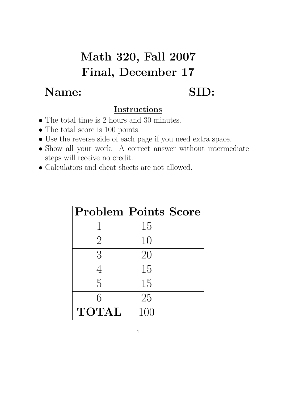## Math 320, Fall 2007 Final, December 17

## Name: SID:

## Instructions

- The total time is 2 hours and 30 minutes.
- The total score is 100 points.
- Use the reverse side of each page if you need extra space.
- Show all your work. A correct answer without intermediate steps will receive no credit.
- Calculators and cheat sheets are not allowed.

| $\textbf{Problem} \textbf{Points} \textbf{Score} $ |     |  |
|----------------------------------------------------|-----|--|
|                                                    | 15  |  |
| $\overline{2}$                                     | 10  |  |
| 3                                                  | 20  |  |
|                                                    | 15  |  |
| $\overline{5}$                                     | 15  |  |
| 6                                                  | 25  |  |
| <b>TOTAL</b>                                       | 100 |  |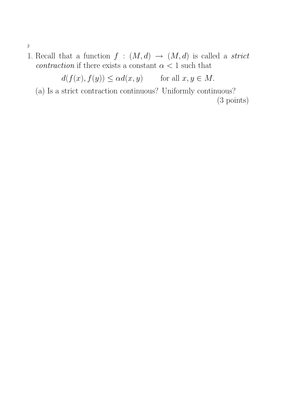- 2
- 1. Recall that a function  $f : (M, d) \rightarrow (M, d)$  is called a *strict* contraction if there exists a constant  $\alpha < 1$  such that

 $d(f(x), f(y)) \leq \alpha d(x, y)$  for all  $x, y \in M$ .

(a) Is a strict contraction continuous? Uniformly continuous?

(3 points)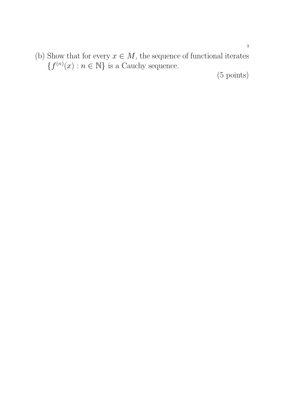(b) Show that for every  $x \in M$ , the sequence of functional iterates  ${f^{(n)}(x) : n \in \mathbb{N}}$  is a Cauchy sequence.

(5 points)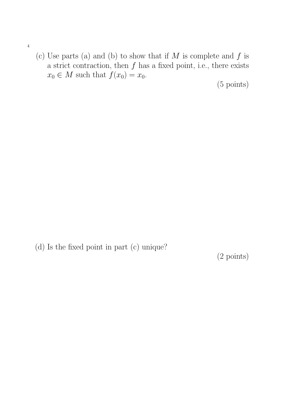- 4
- (c) Use parts (a) and (b) to show that if  $M$  is complete and  $f$  is a strict contraction, then  $f$  has a fixed point, i.e., there exists  $x_0 \in M$  such that  $f(x_0) = x_0$ .

(5 points)

(d) Is the fixed point in part (c) unique?

(2 points)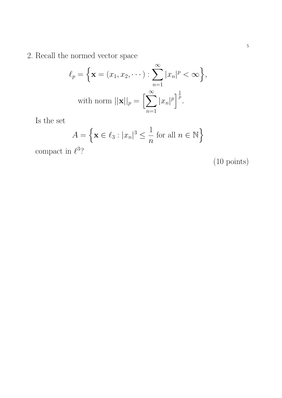2. Recall the normed vector space

$$
\ell_p = \left\{ \mathbf{x} = (x_1, x_2, \cdots) : \sum_{n=1}^{\infty} |x_n|^p < \infty \right\},\
$$
  
with norm  $||\mathbf{x}||_p = \left[\sum_{n=1}^{\infty} |x_n|^p\right]^{\frac{1}{p}}$ .

Is the set

$$
A = \left\{ \mathbf{x} \in \ell_3 : |x_n|^3 \le \frac{1}{n} \text{ for all } n \in \mathbb{N} \right\}
$$

compact in  $\ell^3$ ?

(10 points)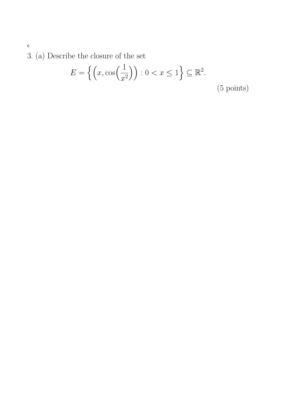3. (a) Describe the closure of the set

$$
E = \left\{ \left( x, \cos\left(\frac{1}{x^2}\right) \right) : 0 < x \le 1 \right\} \subseteq \mathbb{R}^2. \tag{5 \text{ points}}
$$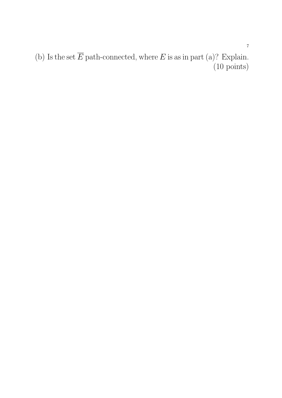(b) Is the set  $\overline{E}$  path-connected, where  $E$  is as in part (a)? Explain. (10 points)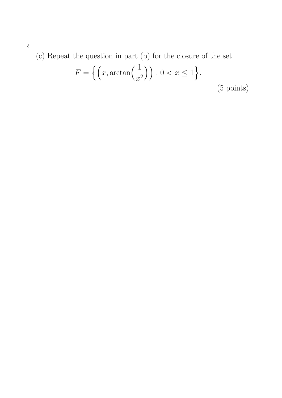(c) Repeat the question in part (b) for the closure of the set

$$
F = \left\{ \left( x, \arctan\left(\frac{1}{x^2}\right) \right) : 0 < x \le 1 \right\}. \tag{5 \text{ points}}
$$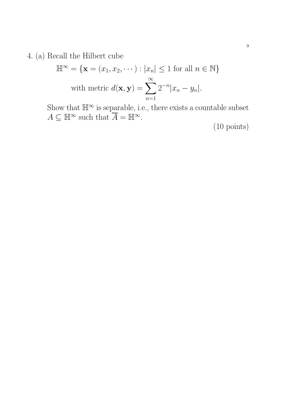4. (a) Recall the Hilbert cube

$$
\mathbb{H}^{\infty} = \{ \mathbf{x} = (x_1, x_2, \cdots) : |x_n| \le 1 \text{ for all } n \in \mathbb{N} \}
$$
  
with metric  $d(\mathbf{x}, \mathbf{y}) = \sum_{n=1}^{\infty} 2^{-n} |x_n - y_n|$ .

Show that  $\mathbb{H}^{\infty}$  is separable, i.e., there exists a countable subset  $A \subseteq \mathbb{H}^{\infty}$  such that  $\overline{A} = \mathbb{H}^{\infty}$ .

(10 points)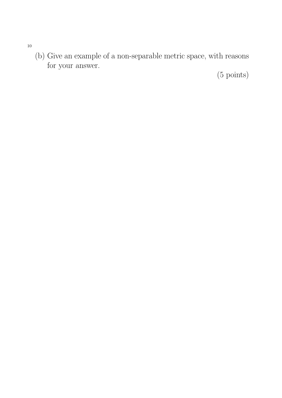(b) Give an example of a non-separable metric space, with reasons for your answer.

(5 points)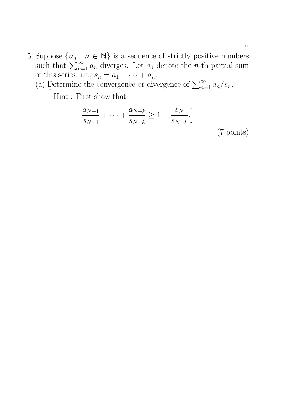5. Suppose  $\{a_n : n \in \mathbb{N}\}\$ is a sequence of strictly positive numbers such that  $\sum_{n=1}^{\infty} a_n$  diverges. Let  $s_n$  denote the *n*-th partial sum of this series, i.e.,  $s_n = a_1 + \cdots + a_n$ .

(a) Determine the convergence or divergence of  $\sum_{n=1}^{\infty} a_n/s_n$ .

 $\int$  Hint : First show that

$$
\frac{a_{N+1}}{s_{N+1}} + \dots + \frac{a_{N+k}}{s_{N+k}} \ge 1 - \frac{s_N}{s_{N+k}}.
$$
\n(7 points)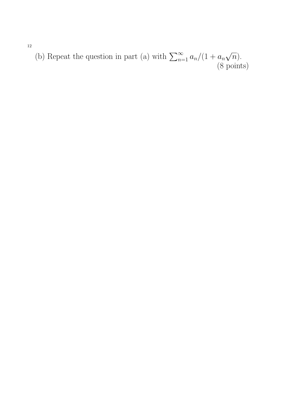(b) Repeat the question in part (a) with  $\sum_{n=1}^{\infty} a_n/(1 + a_n)$ √  $\overline{n}).$ (8 points)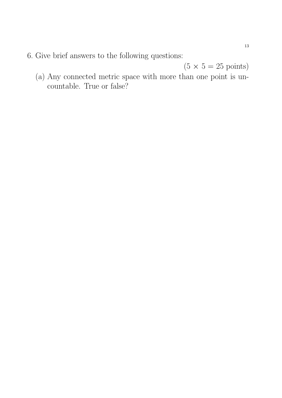6. Give brief answers to the following questions:

 $(5 \times 5 = 25 \text{ points})$ 

(a) Any connected metric space with more than one point is uncountable. True or false?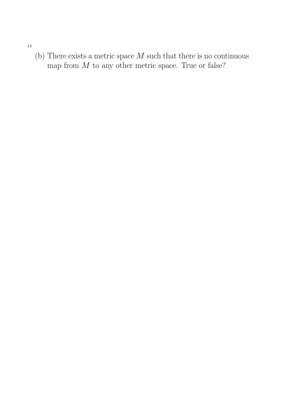14

(b) There exists a metric space  $M$  such that there is no continuous map from  $M$  to any other metric space. True or false?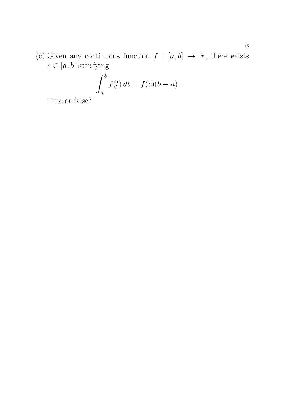(c) Given any continuous function  $f : [a, b] \rightarrow \mathbb{R}$ , there exists  $c \in [a,b]$  satisfying

$$
\int_a^b f(t) dt = f(c)(b - a).
$$

True or false?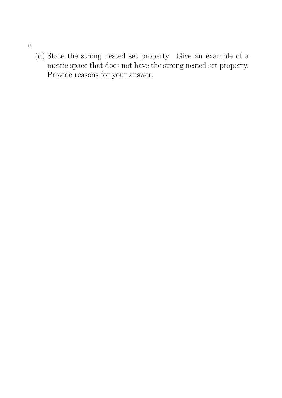16

(d) State the strong nested set property. Give an example of a metric space that does not have the strong nested set property. Provide reasons for your answer.